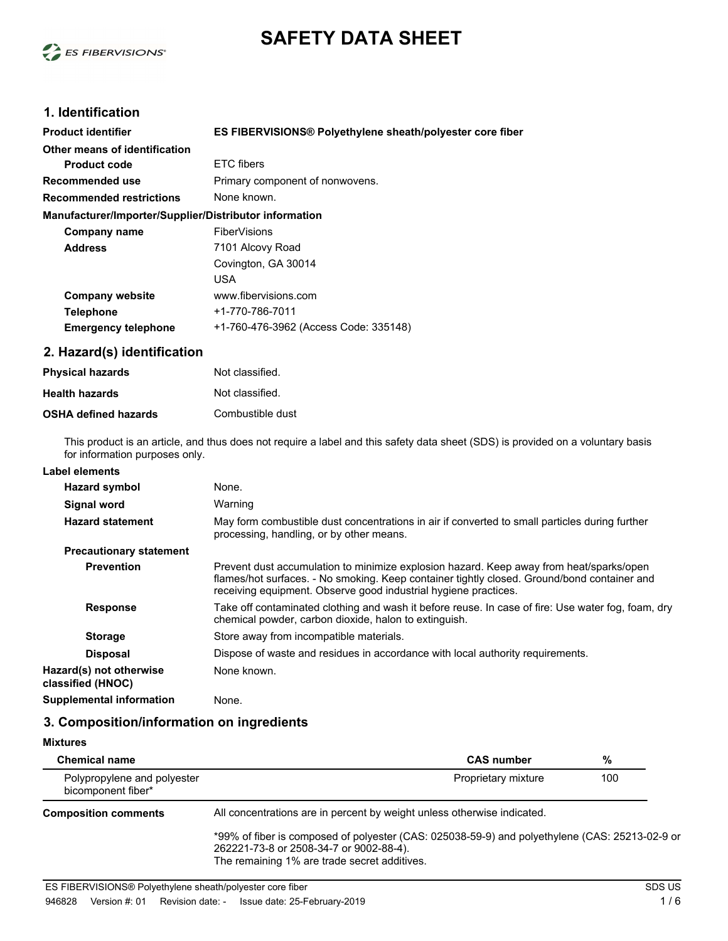



# **1. Identification**

| <b>Product identifier</b>                              | ES FIBERVISIONS® Polyethylene sheath/polyester core fiber |
|--------------------------------------------------------|-----------------------------------------------------------|
| Other means of identification                          |                                                           |
| <b>Product code</b>                                    | ETC fibers                                                |
| Recommended use                                        | Primary component of nonwovens.                           |
| <b>Recommended restrictions</b>                        | None known.                                               |
| Manufacturer/Importer/Supplier/Distributor information |                                                           |
| Company name                                           | FiberVisions                                              |
| <b>Address</b>                                         | 7101 Alcovy Road                                          |
|                                                        | Covington, GA 30014                                       |
|                                                        | USA                                                       |
| <b>Company website</b>                                 | www.fibervisions.com                                      |
| <b>Telephone</b>                                       | +1-770-786-7011                                           |
| <b>Emergency telephone</b>                             | +1-760-476-3962 (Access Code: 335148)                     |
|                                                        |                                                           |

### **2. Hazard(s) identification**

| <b>Physical hazards</b>     | Not classified.  |
|-----------------------------|------------------|
| <b>Health hazards</b>       | Not classified.  |
| <b>OSHA defined hazards</b> | Combustible dust |

This product is an article, and thus does not require a label and this safety data sheet (SDS) is provided on a voluntary basis for information purposes only.

# **Label elements**

| Hazard symbol                                |                                | None.                                                                                                                                                                                                                                                     |
|----------------------------------------------|--------------------------------|-----------------------------------------------------------------------------------------------------------------------------------------------------------------------------------------------------------------------------------------------------------|
| Signal word                                  |                                | Warning                                                                                                                                                                                                                                                   |
| <b>Hazard statement</b>                      |                                | May form combustible dust concentrations in air if converted to small particles during further<br>processing, handling, or by other means.                                                                                                                |
|                                              | <b>Precautionary statement</b> |                                                                                                                                                                                                                                                           |
| <b>Prevention</b>                            |                                | Prevent dust accumulation to minimize explosion hazard. Keep away from heat/sparks/open<br>flames/hot surfaces. - No smoking. Keep container tightly closed. Ground/bond container and<br>receiving equipment. Observe good industrial hygiene practices. |
| <b>Response</b>                              |                                | Take off contaminated clothing and wash it before reuse. In case of fire: Use water fog, foam, dry<br>chemical powder, carbon dioxide, halon to extinguish.                                                                                               |
| <b>Storage</b>                               |                                | Store away from incompatible materials.                                                                                                                                                                                                                   |
| <b>Disposal</b>                              |                                | Dispose of waste and residues in accordance with local authority requirements.                                                                                                                                                                            |
| Hazard(s) not otherwise<br>classified (HNOC) |                                | None known.                                                                                                                                                                                                                                               |
| <b>Supplemental information</b>              |                                | None.                                                                                                                                                                                                                                                     |

# **3. Composition/information on ingredients**

| <b>Mixtures</b>                                   |                                                                                                                                                                                           |     |  |
|---------------------------------------------------|-------------------------------------------------------------------------------------------------------------------------------------------------------------------------------------------|-----|--|
| <b>Chemical name</b>                              | <b>CAS number</b>                                                                                                                                                                         | %   |  |
| Polypropylene and polyester<br>bicomponent fiber* | Proprietary mixture                                                                                                                                                                       | 100 |  |
| <b>Composition comments</b>                       | All concentrations are in percent by weight unless otherwise indicated.                                                                                                                   |     |  |
|                                                   | *99% of fiber is composed of polyester (CAS: 025038-59-9) and polyethylene (CAS: 25213-02-9 or<br>262221-73-8 or 2508-34-7 or 9002-88-4).<br>The remaining 1% are trade secret additives. |     |  |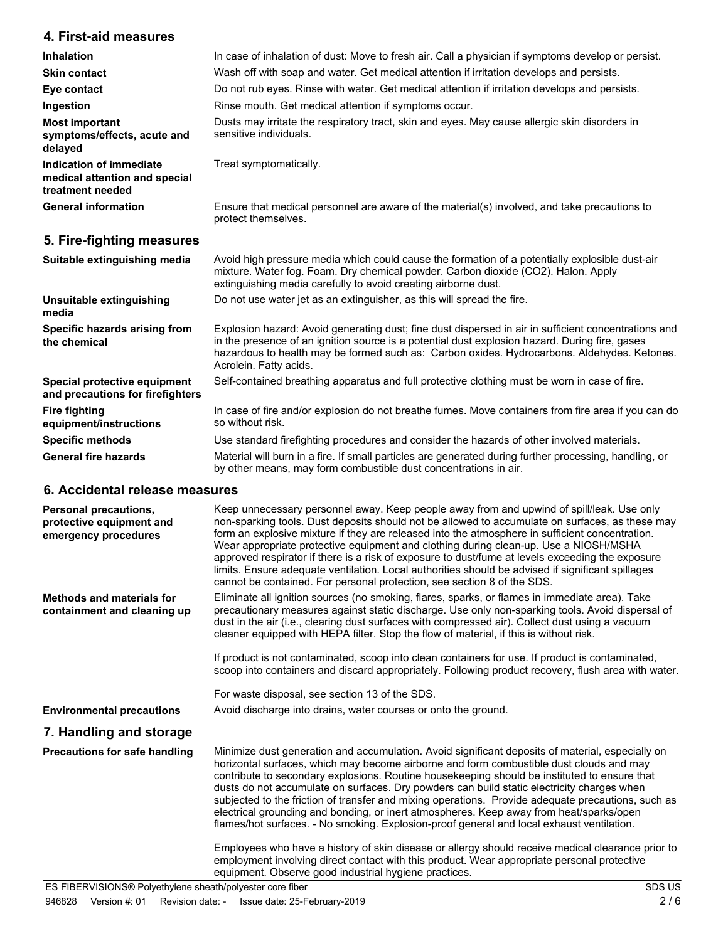# **4. First-aid measures**

| <b>Inhalation</b>                                                            | In case of inhalation of dust: Move to fresh air. Call a physician if symptoms develop or persist.                      |  |
|------------------------------------------------------------------------------|-------------------------------------------------------------------------------------------------------------------------|--|
| <b>Skin contact</b>                                                          | Wash off with soap and water. Get medical attention if irritation develops and persists.                                |  |
| Eye contact                                                                  | Do not rub eyes. Rinse with water. Get medical attention if irritation develops and persists.                           |  |
| Ingestion                                                                    | Rinse mouth. Get medical attention if symptoms occur.                                                                   |  |
| <b>Most important</b><br>symptoms/effects, acute and<br>delayed              | Dusts may irritate the respiratory tract, skin and eyes. May cause allergic skin disorders in<br>sensitive individuals. |  |
| Indication of immediate<br>medical attention and special<br>treatment needed | Treat symptomatically.                                                                                                  |  |
| <b>General information</b>                                                   | Ensure that medical personnel are aware of the material(s) involved, and take precautions to<br>protect themselves.     |  |
| 5. Fire-fighting measures                                                    |                                                                                                                         |  |
| Suitable extinguishing media                                                 | Avoid bigh pressure media which could cause the formation of a potentially explosible dust-air                          |  |

| Suitable extinguishing inequal                                   | Avoid High pressure Hiedia Which Could Cause the formation or a potentially explosible dust-all<br>mixture. Water fog. Foam. Dry chemical powder. Carbon dioxide (CO2). Halon. Apply<br>extinguishing media carefully to avoid creating airborne dust.                                                                          |
|------------------------------------------------------------------|---------------------------------------------------------------------------------------------------------------------------------------------------------------------------------------------------------------------------------------------------------------------------------------------------------------------------------|
| Unsuitable extinguishing<br>media                                | Do not use water jet as an extinguisher, as this will spread the fire.                                                                                                                                                                                                                                                          |
| Specific hazards arising from<br>the chemical                    | Explosion hazard: Avoid generating dust; fine dust dispersed in air in sufficient concentrations and<br>in the presence of an ignition source is a potential dust explosion hazard. During fire, gases<br>hazardous to health may be formed such as: Carbon oxides. Hydrocarbons. Aldehydes. Ketones.<br>Acrolein. Fatty acids. |
| Special protective equipment<br>and precautions for firefighters | Self-contained breathing apparatus and full protective clothing must be worn in case of fire.                                                                                                                                                                                                                                   |
| <b>Fire fighting</b><br>equipment/instructions                   | In case of fire and/or explosion do not breathe fumes. Move containers from fire area if you can do<br>so without risk.                                                                                                                                                                                                         |
| <b>Specific methods</b>                                          | Use standard firefighting procedures and consider the hazards of other involved materials.                                                                                                                                                                                                                                      |
| <b>General fire hazards</b>                                      | Material will burn in a fire. If small particles are generated during further processing, handling, or                                                                                                                                                                                                                          |

by other means, may form combustible dust concentrations in air.

## **6. Accidental release measures**

| Personal precautions,<br>protective equipment and<br>emergency procedures | Keep unnecessary personnel away. Keep people away from and upwind of spill/leak. Use only<br>non-sparking tools. Dust deposits should not be allowed to accumulate on surfaces, as these may<br>form an explosive mixture if they are released into the atmosphere in sufficient concentration.<br>Wear appropriate protective equipment and clothing during clean-up. Use a NIOSH/MSHA<br>approved respirator if there is a risk of exposure to dust/fume at levels exceeding the exposure<br>limits. Ensure adequate ventilation. Local authorities should be advised if significant spillages<br>cannot be contained. For personal protection, see section 8 of the SDS.             |
|---------------------------------------------------------------------------|-----------------------------------------------------------------------------------------------------------------------------------------------------------------------------------------------------------------------------------------------------------------------------------------------------------------------------------------------------------------------------------------------------------------------------------------------------------------------------------------------------------------------------------------------------------------------------------------------------------------------------------------------------------------------------------------|
| <b>Methods and materials for</b><br>containment and cleaning up           | Eliminate all ignition sources (no smoking, flares, sparks, or flames in immediate area). Take<br>precautionary measures against static discharge. Use only non-sparking tools. Avoid dispersal of<br>dust in the air (i.e., clearing dust surfaces with compressed air). Collect dust using a vacuum<br>cleaner equipped with HEPA filter. Stop the flow of material, if this is without risk.                                                                                                                                                                                                                                                                                         |
|                                                                           | If product is not contaminated, scoop into clean containers for use. If product is contaminated,<br>scoop into containers and discard appropriately. Following product recovery, flush area with water.                                                                                                                                                                                                                                                                                                                                                                                                                                                                                 |
|                                                                           | For waste disposal, see section 13 of the SDS.                                                                                                                                                                                                                                                                                                                                                                                                                                                                                                                                                                                                                                          |
| <b>Environmental precautions</b>                                          | Avoid discharge into drains, water courses or onto the ground.                                                                                                                                                                                                                                                                                                                                                                                                                                                                                                                                                                                                                          |
| 7. Handling and storage                                                   |                                                                                                                                                                                                                                                                                                                                                                                                                                                                                                                                                                                                                                                                                         |
| Precautions for safe handling                                             | Minimize dust generation and accumulation. Avoid significant deposits of material, especially on<br>horizontal surfaces, which may become airborne and form combustible dust clouds and may<br>contribute to secondary explosions. Routine housekeeping should be instituted to ensure that<br>dusts do not accumulate on surfaces. Dry powders can build static electricity charges when<br>subjected to the friction of transfer and mixing operations. Provide adequate precautions, such as<br>electrical grounding and bonding, or inert atmospheres. Keep away from heat/sparks/open<br>flames/hot surfaces. - No smoking. Explosion-proof general and local exhaust ventilation. |
|                                                                           | Employees who have a history of skin disease or allergy should receive medical clearance prior to<br>employment involving direct contact with this product. Wear appropriate personal protective<br>equipment. Observe good industrial hygiene practices.                                                                                                                                                                                                                                                                                                                                                                                                                               |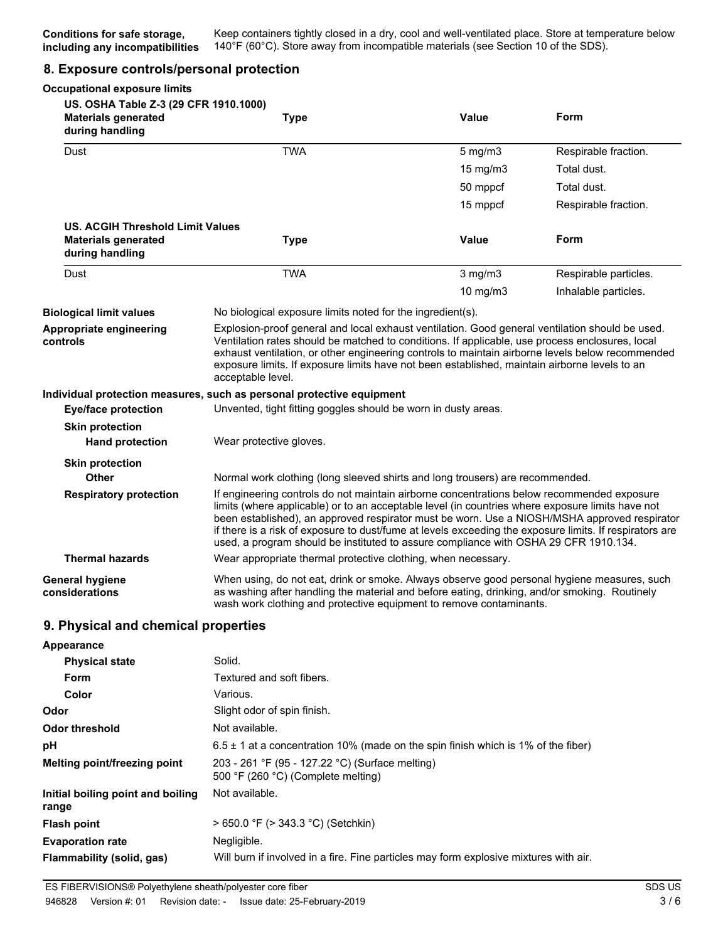### **8. Exposure controls/personal protection**

| <b>Occupational exposure limits</b>                                                    |                                                                                                                                                                                                                                                                                                                                                                                                                                                                                                   |               |                       |
|----------------------------------------------------------------------------------------|---------------------------------------------------------------------------------------------------------------------------------------------------------------------------------------------------------------------------------------------------------------------------------------------------------------------------------------------------------------------------------------------------------------------------------------------------------------------------------------------------|---------------|-----------------------|
| US. OSHA Table Z-3 (29 CFR 1910.1000)<br><b>Materials generated</b><br>during handling | <b>Type</b>                                                                                                                                                                                                                                                                                                                                                                                                                                                                                       | <b>Value</b>  | Form                  |
| Dust                                                                                   | <b>TWA</b>                                                                                                                                                                                                                                                                                                                                                                                                                                                                                        | $5$ mg/m $3$  | Respirable fraction.  |
|                                                                                        |                                                                                                                                                                                                                                                                                                                                                                                                                                                                                                   | $15$ mg/m $3$ | Total dust.           |
|                                                                                        |                                                                                                                                                                                                                                                                                                                                                                                                                                                                                                   | 50 mppcf      | Total dust.           |
|                                                                                        |                                                                                                                                                                                                                                                                                                                                                                                                                                                                                                   | 15 mppcf      | Respirable fraction.  |
| <b>US. ACGIH Threshold Limit Values</b><br><b>Materials generated</b>                  | <b>Type</b>                                                                                                                                                                                                                                                                                                                                                                                                                                                                                       | <b>Value</b>  | <b>Form</b>           |
| during handling                                                                        |                                                                                                                                                                                                                                                                                                                                                                                                                                                                                                   |               |                       |
| Dust                                                                                   | <b>TWA</b>                                                                                                                                                                                                                                                                                                                                                                                                                                                                                        | $3$ mg/m $3$  | Respirable particles. |
|                                                                                        |                                                                                                                                                                                                                                                                                                                                                                                                                                                                                                   | 10 mg/m3      | Inhalable particles.  |
| <b>Biological limit values</b>                                                         | No biological exposure limits noted for the ingredient(s).                                                                                                                                                                                                                                                                                                                                                                                                                                        |               |                       |
| Appropriate engineering<br>controls                                                    | Explosion-proof general and local exhaust ventilation. Good general ventilation should be used.<br>Ventilation rates should be matched to conditions. If applicable, use process enclosures, local<br>exhaust ventilation, or other engineering controls to maintain airborne levels below recommended<br>exposure limits. If exposure limits have not been established, maintain airborne levels to an<br>acceptable level.                                                                      |               |                       |
| <b>Eye/face protection</b>                                                             | Individual protection measures, such as personal protective equipment<br>Unvented, tight fitting goggles should be worn in dusty areas.                                                                                                                                                                                                                                                                                                                                                           |               |                       |
| <b>Skin protection</b><br><b>Hand protection</b>                                       | Wear protective gloves.                                                                                                                                                                                                                                                                                                                                                                                                                                                                           |               |                       |
| <b>Skin protection</b>                                                                 |                                                                                                                                                                                                                                                                                                                                                                                                                                                                                                   |               |                       |
| Other                                                                                  | Normal work clothing (long sleeved shirts and long trousers) are recommended.                                                                                                                                                                                                                                                                                                                                                                                                                     |               |                       |
| <b>Respiratory protection</b>                                                          | If engineering controls do not maintain airborne concentrations below recommended exposure<br>limits (where applicable) or to an acceptable level (in countries where exposure limits have not<br>been established), an approved respirator must be worn. Use a NIOSH/MSHA approved respirator<br>if there is a risk of exposure to dust/fume at levels exceeding the exposure limits. If respirators are<br>used, a program should be instituted to assure compliance with OSHA 29 CFR 1910.134. |               |                       |
| <b>Thermal hazards</b>                                                                 | Wear appropriate thermal protective clothing, when necessary.                                                                                                                                                                                                                                                                                                                                                                                                                                     |               |                       |
| <b>General hygiene</b><br>considerations                                               | When using, do not eat, drink or smoke. Always observe good personal hygiene measures, such<br>as washing after handling the material and before eating, drinking, and/or smoking. Routinely<br>wash work clothing and protective equipment to remove contaminants.                                                                                                                                                                                                                               |               |                       |
| 9. Physical and chemical properties                                                    |                                                                                                                                                                                                                                                                                                                                                                                                                                                                                                   |               |                       |
| <b>Appearance</b>                                                                      |                                                                                                                                                                                                                                                                                                                                                                                                                                                                                                   |               |                       |
| <b>Physical state</b>                                                                  | Solid.                                                                                                                                                                                                                                                                                                                                                                                                                                                                                            |               |                       |
| Form                                                                                   | Textured and soft fibers.                                                                                                                                                                                                                                                                                                                                                                                                                                                                         |               |                       |
| Color                                                                                  | Various.                                                                                                                                                                                                                                                                                                                                                                                                                                                                                          |               |                       |
| Odor                                                                                   | Slight odor of spin finish.                                                                                                                                                                                                                                                                                                                                                                                                                                                                       |               |                       |
| <b>Odor threshold</b>                                                                  | Not available.                                                                                                                                                                                                                                                                                                                                                                                                                                                                                    |               |                       |
| pH                                                                                     | $6.5 \pm 1$ at a concentration 10% (made on the spin finish which is 1% of the fiber)                                                                                                                                                                                                                                                                                                                                                                                                             |               |                       |
| Melting point/freezing point                                                           | 203 - 261 °F (95 - 127.22 °C) (Surface melting)<br>500 °F (260 °C) (Complete melting)                                                                                                                                                                                                                                                                                                                                                                                                             |               |                       |
| Initial boiling point and boiling<br>range                                             | Not available.                                                                                                                                                                                                                                                                                                                                                                                                                                                                                    |               |                       |
| <b>Flash point</b>                                                                     | > 650.0 °F (> 343.3 °C) (Setchkin)                                                                                                                                                                                                                                                                                                                                                                                                                                                                |               |                       |
| <b>Evaporation rate</b>                                                                | Negligible.                                                                                                                                                                                                                                                                                                                                                                                                                                                                                       |               |                       |
| Flammability (solid, gas)                                                              | Will burn if involved in a fire. Fine particles may form explosive mixtures with air.                                                                                                                                                                                                                                                                                                                                                                                                             |               |                       |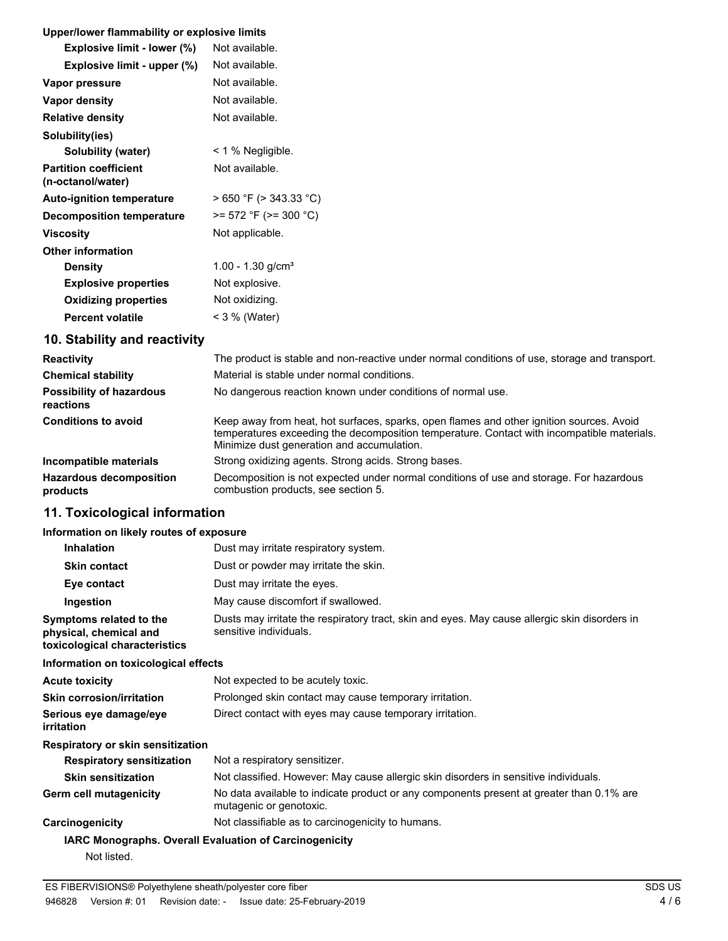## **Upper/lower flammability or explosive limits**

| Oppenower nanimability or explosive illints       |                        |
|---------------------------------------------------|------------------------|
| Explosive limit - lower (%)                       | Not available.         |
| Explosive limit - upper (%)                       | Not available.         |
| Vapor pressure                                    | Not available.         |
| Vapor density                                     | Not available.         |
| <b>Relative density</b>                           | Not available.         |
| Solubility(ies)                                   |                        |
| Solubility (water)                                | $\leq$ 1 % Negligible. |
| <b>Partition coefficient</b><br>(n-octanol/water) | Not available.         |
| <b>Auto-ignition temperature</b>                  | > 650 °F (> 343.33 °C) |
| <b>Decomposition temperature</b>                  | >= 572 °F (>= 300 °C)  |
| Viscosity                                         | Not applicable.        |
| <b>Other information</b>                          |                        |
| <b>Density</b>                                    | 1.00 - 1.30 $g/cm3$    |
| <b>Explosive properties</b>                       | Not explosive.         |
| <b>Oxidizing properties</b>                       | Not oxidizing.         |
| <b>Percent volatile</b>                           | < 3 % (Water)          |

# **10. Stability and reactivity**

| <b>Reactivity</b>                            | The product is stable and non-reactive under normal conditions of use, storage and transport.                                                                                                                                        |  |
|----------------------------------------------|--------------------------------------------------------------------------------------------------------------------------------------------------------------------------------------------------------------------------------------|--|
| <b>Chemical stability</b>                    | Material is stable under normal conditions.                                                                                                                                                                                          |  |
| <b>Possibility of hazardous</b><br>reactions | No dangerous reaction known under conditions of normal use.                                                                                                                                                                          |  |
| <b>Conditions to avoid</b>                   | Keep away from heat, hot surfaces, sparks, open flames and other ignition sources. Avoid<br>temperatures exceeding the decomposition temperature. Contact with incompatible materials.<br>Minimize dust generation and accumulation. |  |
| Incompatible materials                       | Strong oxidizing agents. Strong acids. Strong bases.                                                                                                                                                                                 |  |
| <b>Hazardous decomposition</b><br>products   | Decomposition is not expected under normal conditions of use and storage. For hazardous<br>combustion products, see section 5.                                                                                                       |  |

# **11. Toxicological information**

## **Information on likely routes of exposure**

| $\frac{1}{2}$ . The figure is the figure in the figure in the figure in the figure is the figure in the figure in the figure in the figure is a figure in the figure in the figure in the figure in the figure in the figure in t |                                                                                                                         |
|-----------------------------------------------------------------------------------------------------------------------------------------------------------------------------------------------------------------------------------|-------------------------------------------------------------------------------------------------------------------------|
| <b>Inhalation</b>                                                                                                                                                                                                                 | Dust may irritate respiratory system.                                                                                   |
| <b>Skin contact</b>                                                                                                                                                                                                               | Dust or powder may irritate the skin.                                                                                   |
| Eye contact                                                                                                                                                                                                                       | Dust may irritate the eyes.                                                                                             |
| Ingestion                                                                                                                                                                                                                         | May cause discomfort if swallowed.                                                                                      |
| Symptoms related to the<br>physical, chemical and<br>toxicological characteristics                                                                                                                                                | Dusts may irritate the respiratory tract, skin and eyes. May cause allergic skin disorders in<br>sensitive individuals. |
| Information on toxicological effects                                                                                                                                                                                              |                                                                                                                         |
| Acute toxicity                                                                                                                                                                                                                    | Not expected to be acutely toxic.                                                                                       |
|                                                                                                                                                                                                                                   |                                                                                                                         |

| <b>Skin corrosion/irritation</b>            | Prolonged skin contact may cause temporary irritation.                                                              |  |
|---------------------------------------------|---------------------------------------------------------------------------------------------------------------------|--|
| Serious eye damage/eye<br><i>irritation</i> | Direct contact with eyes may cause temporary irritation.                                                            |  |
| Respiratory or skin sensitization           |                                                                                                                     |  |
| <b>Respiratory sensitization</b>            | Not a respiratory sensitizer.                                                                                       |  |
| <b>Skin sensitization</b>                   | Not classified. However: May cause allergic skin disorders in sensitive individuals.                                |  |
| Germ cell mutagenicity                      | No data available to indicate product or any components present at greater than 0.1% are<br>mutagenic or genotoxic. |  |
| Carcinogenicity                             | Not classifiable as to carcinogenicity to humans.                                                                   |  |
|                                             | <b>IARC Monographs. Overall Evaluation of Carcinogenicity</b>                                                       |  |
| Not listed.                                 |                                                                                                                     |  |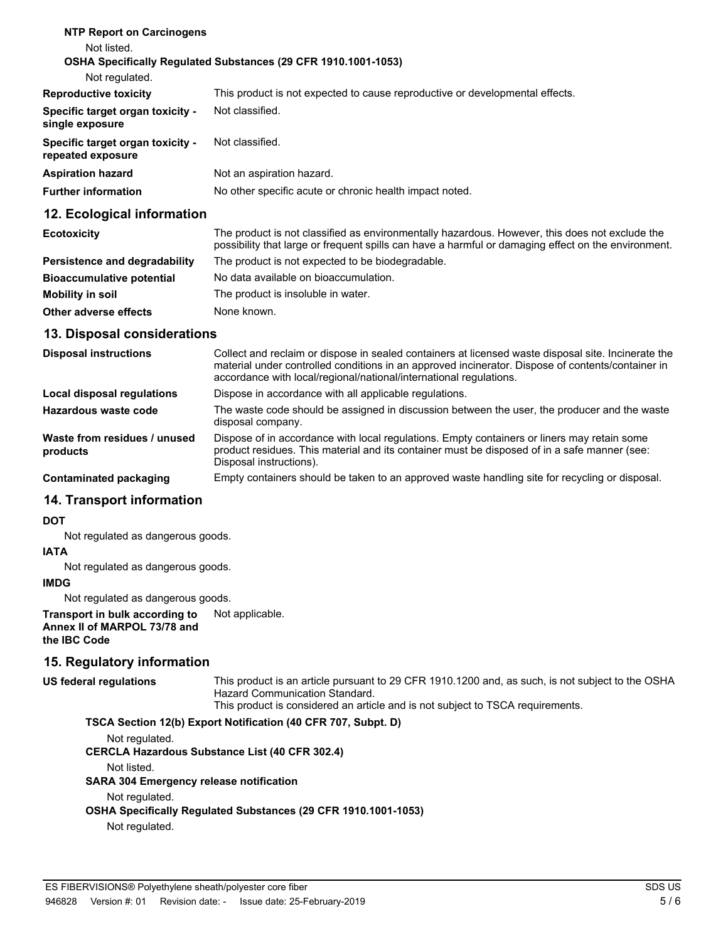#### **NTP Report on Carcinogens** Not listed. **OSHA Specifically Regulated Substances (29 CFR 1910.1001-1053)** Not regulated. **Reproductive toxicity** This product is not expected to cause reproductive or developmental effects. **Specific target organ toxicity single exposure** Not classified. **Specific target organ toxicity repeated exposure** Not classified. **Aspiration hazard** Not an aspiration hazard. **Further information** No other specific acute or chronic health impact noted.

## **12. Ecological information**

| <b>Ecotoxicity</b>               | The product is not classified as environmentally hazardous. However, this does not exclude the<br>possibility that large or frequent spills can have a harmful or damaging effect on the environment. |
|----------------------------------|-------------------------------------------------------------------------------------------------------------------------------------------------------------------------------------------------------|
| Persistence and degradability    | The product is not expected to be biodegradable.                                                                                                                                                      |
| <b>Bioaccumulative potential</b> | No data available on bioaccumulation.                                                                                                                                                                 |
| Mobility in soil                 | The product is insoluble in water.                                                                                                                                                                    |
| Other adverse effects            | None known.                                                                                                                                                                                           |

### **13. Disposal considerations**

| <b>Disposal instructions</b>             | Collect and reclaim or dispose in sealed containers at licensed waste disposal site. Incinerate the<br>material under controlled conditions in an approved incinerator. Dispose of contents/container in<br>accordance with local/regional/national/international regulations. |
|------------------------------------------|--------------------------------------------------------------------------------------------------------------------------------------------------------------------------------------------------------------------------------------------------------------------------------|
| Local disposal regulations               | Dispose in accordance with all applicable regulations.                                                                                                                                                                                                                         |
| Hazardous waste code                     | The waste code should be assigned in discussion between the user, the producer and the waste<br>disposal company.                                                                                                                                                              |
| Waste from residues / unused<br>products | Dispose of in accordance with local regulations. Empty containers or liners may retain some<br>product residues. This material and its container must be disposed of in a safe manner (see:<br>Disposal instructions).                                                         |
| Contaminated packaging                   | Empty containers should be taken to an approved waste handling site for recycling or disposal.                                                                                                                                                                                 |

## **14. Transport information**

#### **DOT**

Not regulated as dangerous goods.

#### **IATA**

Not regulated as dangerous goods.

### **IMDG**

Not regulated as dangerous goods.

**Transport in bulk according to** Not applicable. **Annex II of MARPOL 73/78 and the IBC Code**

# **15. Regulatory information**

This product is an article pursuant to 29 CFR 1910.1200 and, as such, is not subject to the OSHA Hazard Communication Standard. **US federal regulations**

This product is considered an article and is not subject to TSCA requirements.

#### **TSCA Section 12(b) Export Notification (40 CFR 707, Subpt. D)**

Not regulated.

**CERCLA Hazardous Substance List (40 CFR 302.4)**

Not listed.

**SARA 304 Emergency release notification**

#### Not regulated.

**OSHA Specifically Regulated Substances (29 CFR 1910.1001-1053)**

Not regulated.